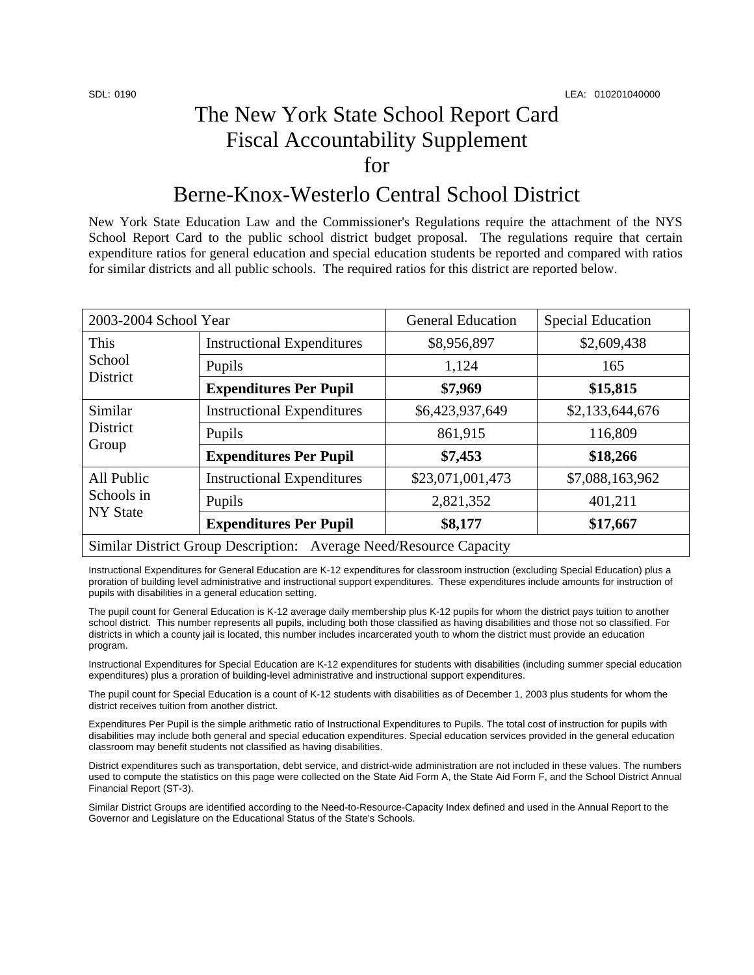## The New York State School Report Card Fiscal Accountability Supplement for

## Berne-Knox-Westerlo Central School District

New York State Education Law and the Commissioner's Regulations require the attachment of the NYS School Report Card to the public school district budget proposal. The regulations require that certain expenditure ratios for general education and special education students be reported and compared with ratios for similar districts and all public schools. The required ratios for this district are reported below.

| 2003-2004 School Year                                              |                                   | <b>General Education</b> | <b>Special Education</b> |  |
|--------------------------------------------------------------------|-----------------------------------|--------------------------|--------------------------|--|
| This<br>School<br><b>District</b>                                  | <b>Instructional Expenditures</b> | \$8,956,897              | \$2,609,438              |  |
|                                                                    | Pupils                            | 1,124                    | 165                      |  |
|                                                                    | <b>Expenditures Per Pupil</b>     | \$7,969                  | \$15,815                 |  |
| Similar<br>District<br>Group                                       | <b>Instructional Expenditures</b> | \$6,423,937,649          | \$2,133,644,676          |  |
|                                                                    | Pupils                            | 861,915                  | 116,809                  |  |
|                                                                    | <b>Expenditures Per Pupil</b>     | \$7,453                  | \$18,266                 |  |
| All Public<br>Schools in<br><b>NY State</b>                        | <b>Instructional Expenditures</b> | \$23,071,001,473         | \$7,088,163,962          |  |
|                                                                    | Pupils                            | 2,821,352                | 401,211                  |  |
|                                                                    | <b>Expenditures Per Pupil</b>     | \$8,177                  | \$17,667                 |  |
| Similar District Group Description: Average Need/Resource Capacity |                                   |                          |                          |  |

Instructional Expenditures for General Education are K-12 expenditures for classroom instruction (excluding Special Education) plus a proration of building level administrative and instructional support expenditures. These expenditures include amounts for instruction of pupils with disabilities in a general education setting.

The pupil count for General Education is K-12 average daily membership plus K-12 pupils for whom the district pays tuition to another school district. This number represents all pupils, including both those classified as having disabilities and those not so classified. For districts in which a county jail is located, this number includes incarcerated youth to whom the district must provide an education program.

Instructional Expenditures for Special Education are K-12 expenditures for students with disabilities (including summer special education expenditures) plus a proration of building-level administrative and instructional support expenditures.

The pupil count for Special Education is a count of K-12 students with disabilities as of December 1, 2003 plus students for whom the district receives tuition from another district.

Expenditures Per Pupil is the simple arithmetic ratio of Instructional Expenditures to Pupils. The total cost of instruction for pupils with disabilities may include both general and special education expenditures. Special education services provided in the general education classroom may benefit students not classified as having disabilities.

District expenditures such as transportation, debt service, and district-wide administration are not included in these values. The numbers used to compute the statistics on this page were collected on the State Aid Form A, the State Aid Form F, and the School District Annual Financial Report (ST-3).

Similar District Groups are identified according to the Need-to-Resource-Capacity Index defined and used in the Annual Report to the Governor and Legislature on the Educational Status of the State's Schools.